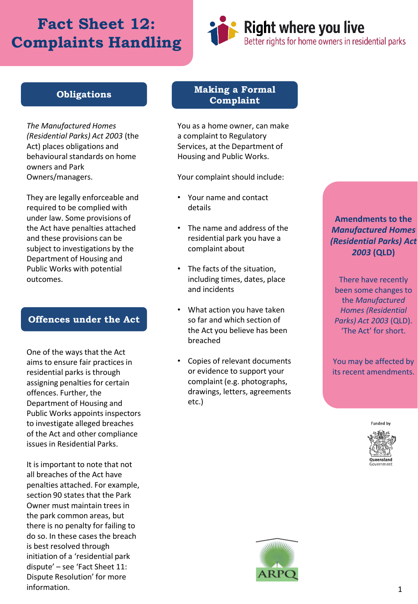# **Fact Sheet 12: Complaints Handling**



#### **Obligations**

*The Manufactured Homes (Residential Parks) Act 2003* (the Act) places obligations and behavioural standards on home owners and Park Owners/managers.

They are legally enforceable and required to be complied with under law. Some provisions of the Act have penalties attached and these provisions can be subject to investigations by the Department of Housing and Public Works with potential outcomes.

#### **Offences under the Act**

One of the ways that the Act aims to ensure fair practices in residential parks is through assigning penalties for certain offences. Further, the Department of Housing and Public Works appoints inspectors to investigate alleged breaches of the Act and other compliance issues in Residential Parks.

It is important to note that not all breaches of the Act have penalties attached. For example, section 90 states that the Park Owner must maintain trees in the park common areas, but there is no penalty for failing to do so. In these cases the breach is best resolved through initiation of a 'residential park dispute' – see 'Fact Sheet 11: Dispute Resolution' for more information.

#### **Making a Formal Complaint**

You as a home owner, can make a complaint to Regulatory Services, at the Department of Housing and Public Works.

Your complaint should include:

- Your name and contact details
- The name and address of the residential park you have a complaint about
- The facts of the situation, including times, dates, place and incidents
- What action you have taken so far and which section of the Act you believe has been breached
- Copies of relevant documents or evidence to support your complaint (e.g. photographs, drawings, letters, agreements etc.)

**Amendments to the**  *Manufactured Homes (Residential Parks) Act 2003* **(QLD)**

There have recently been some changes to the *Manufactured Homes (Residential Parks) Act 2003* (QLD). 'The Act' for short.

You may be affected by its recent amendments.

**Funded by**